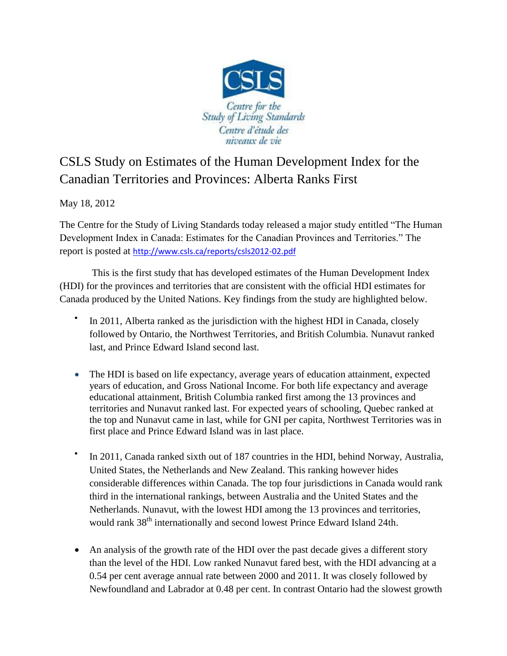

## CSLS Study on Estimates of the Human Development Index for the Canadian Territories and Provinces: Alberta Ranks First

May 18, 2012

The Centre for the Study of Living Standards today released a major study entitled "The Human Development Index in Canada: Estimates for the Canadian Provinces and Territories." The report is posted at <http://www.csls.ca/reports/csls2012-02.pdf>

This is the first study that has developed estimates of the Human Development Index (HDI) for the provinces and territories that are consistent with the official HDI estimates for Canada produced by the United Nations. Key findings from the study are highlighted below.

- $\bullet$ In 2011, Alberta ranked as the jurisdiction with the highest HDI in Canada, closely followed by Ontario, the Northwest Territories, and British Columbia. Nunavut ranked last, and Prince Edward Island second last.
- The HDI is based on life expectancy, average years of education attainment, expected years of education, and Gross National Income. For both life expectancy and average educational attainment, British Columbia ranked first among the 13 provinces and territories and Nunavut ranked last. For expected years of schooling, Quebec ranked at the top and Nunavut came in last, while for GNI per capita, Northwest Territories was in first place and Prince Edward Island was in last place.
- $\bullet$ In 2011, Canada ranked sixth out of 187 countries in the HDI, behind Norway, Australia, United States, the Netherlands and New Zealand. This ranking however hides considerable differences within Canada. The top four jurisdictions in Canada would rank third in the international rankings, between Australia and the United States and the Netherlands. Nunavut, with the lowest HDI among the 13 provinces and territories, would rank 38<sup>th</sup> internationally and second lowest Prince Edward Island 24th.
- An analysis of the growth rate of the HDI over the past decade gives a different story than the level of the HDI. Low ranked Nunavut fared best, with the HDI advancing at a 0.54 per cent average annual rate between 2000 and 2011. It was closely followed by Newfoundland and Labrador at 0.48 per cent. In contrast Ontario had the slowest growth